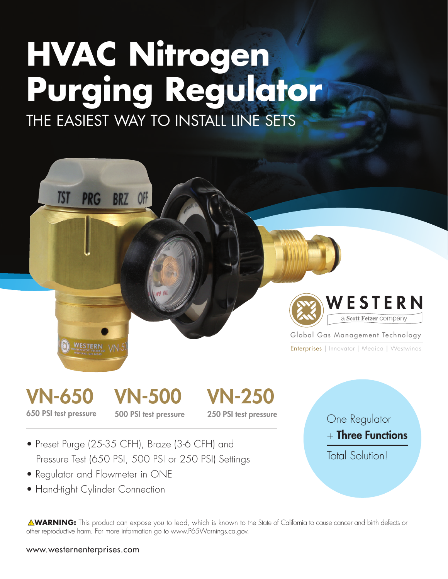## **HVAC Nitrogen Purging Regulator**

THE EASIEST WAY TO INSTALL LINE SETS



Global Gas Management Technology

Enterprises | Innovator | Medica | Westwinds



**TST** 

**PRG** 

**WESTERN** 

**BRZ** 

**OFF** 

 $\mathsf{VN}\text{-}\mathsf{500}$  500 PSI test pressure

VN-250 250 PSI test pressure

- Preset Purge (25-35 CFH), Braze (3-6 CFH) and Pressure Test (650 PSI, 500 PSI or 250 PSI) Settings
- Regulator and Flowmeter in ONE
- Hand-tight Cylinder Connection

One Regulator  $+$  Three Functions Total Solution!

! **WARNING:** This product can expose you to lead, which is known to the State of California to cause cancer and birth defects or other reproductive harm. For more information go to www.P65Warnings.ca.gov.

www.westernenterprises.com